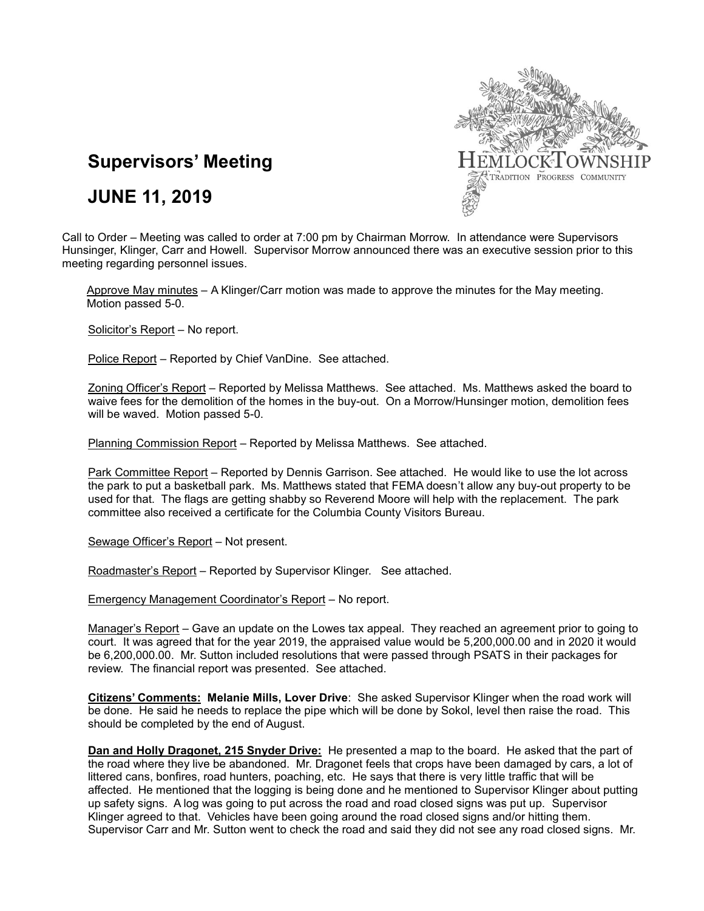

# **Supervisors' Meeting**

## **JUNE 11, 2019**

Call to Order – Meeting was called to order at 7:00 pm by Chairman Morrow. In attendance were Supervisors Hunsinger, Klinger, Carr and Howell. Supervisor Morrow announced there was an executive session prior to this meeting regarding personnel issues.

Approve May minutes – A Klinger/Carr motion was made to approve the minutes for the May meeting. Motion passed 5-0.

Solicitor's Report – No report.

Police Report - Reported by Chief VanDine. See attached.

Zoning Officer's Report – Reported by Melissa Matthews. See attached. Ms. Matthews asked the board to waive fees for the demolition of the homes in the buy-out. On a Morrow/Hunsinger motion, demolition fees will be waved. Motion passed 5-0.

Planning Commission Report – Reported by Melissa Matthews. See attached.

Park Committee Report – Reported by Dennis Garrison. See attached. He would like to use the lot across the park to put a basketball park. Ms. Matthews stated that FEMA doesn't allow any buy-out property to be used for that. The flags are getting shabby so Reverend Moore will help with the replacement. The park committee also received a certificate for the Columbia County Visitors Bureau.

Sewage Officer's Report – Not present.

Roadmaster's Report – Reported by Supervisor Klinger. See attached.

Emergency Management Coordinator's Report – No report.

Manager's Report – Gave an update on the Lowes tax appeal. They reached an agreement prior to going to court. It was agreed that for the year 2019, the appraised value would be 5,200,000.00 and in 2020 it would be 6,200,000.00. Mr. Sutton included resolutions that were passed through PSATS in their packages for review. The financial report was presented. See attached.

**Citizens' Comments: Melanie Mills, Lover Drive**: She asked Supervisor Klinger when the road work will be done. He said he needs to replace the pipe which will be done by Sokol, level then raise the road. This should be completed by the end of August.

**Dan and Holly Dragonet, 215 Snyder Drive:** He presented a map to the board. He asked that the part of the road where they live be abandoned. Mr. Dragonet feels that crops have been damaged by cars, a lot of littered cans, bonfires, road hunters, poaching, etc. He says that there is very little traffic that will be affected. He mentioned that the logging is being done and he mentioned to Supervisor Klinger about putting up safety signs. A log was going to put across the road and road closed signs was put up. Supervisor Klinger agreed to that. Vehicles have been going around the road closed signs and/or hitting them. Supervisor Carr and Mr. Sutton went to check the road and said they did not see any road closed signs. Mr.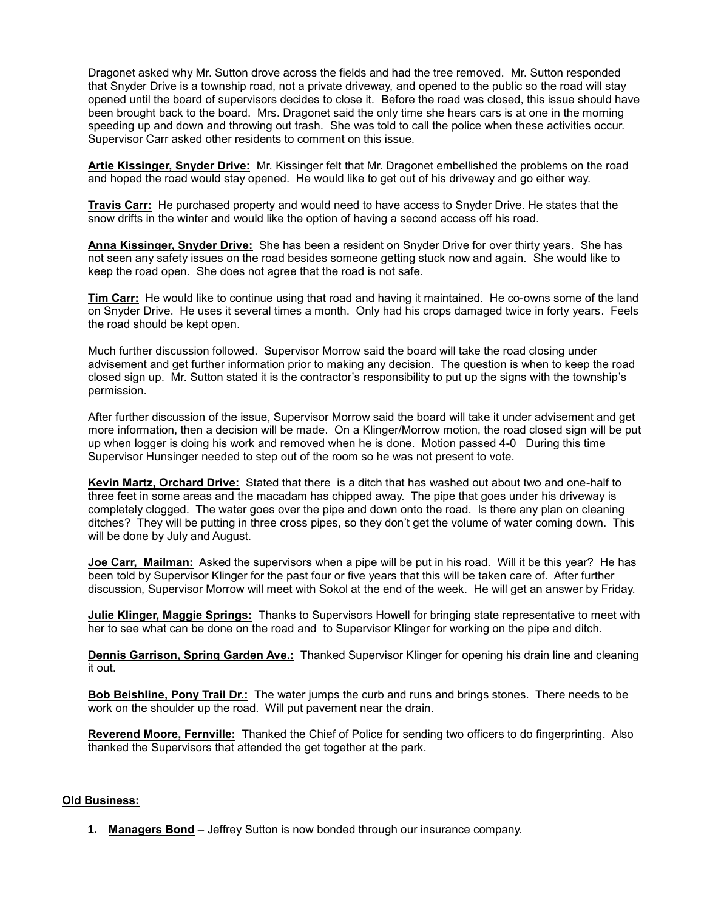Dragonet asked why Mr. Sutton drove across the fields and had the tree removed. Mr. Sutton responded that Snyder Drive is a township road, not a private driveway, and opened to the public so the road will stay opened until the board of supervisors decides to close it. Before the road was closed, this issue should have been brought back to the board. Mrs. Dragonet said the only time she hears cars is at one in the morning speeding up and down and throwing out trash. She was told to call the police when these activities occur. Supervisor Carr asked other residents to comment on this issue.

**Artie Kissinger, Snyder Drive:** Mr. Kissinger felt that Mr. Dragonet embellished the problems on the road and hoped the road would stay opened. He would like to get out of his driveway and go either way.

**Travis Carr:** He purchased property and would need to have access to Snyder Drive. He states that the snow drifts in the winter and would like the option of having a second access off his road.

**Anna Kissinger, Snyder Drive:** She has been a resident on Snyder Drive for over thirty years. She has not seen any safety issues on the road besides someone getting stuck now and again. She would like to keep the road open. She does not agree that the road is not safe.

**Tim Carr:** He would like to continue using that road and having it maintained. He co-owns some of the land on Snyder Drive. He uses it several times a month. Only had his crops damaged twice in forty years. Feels the road should be kept open.

Much further discussion followed. Supervisor Morrow said the board will take the road closing under advisement and get further information prior to making any decision. The question is when to keep the road closed sign up. Mr. Sutton stated it is the contractor's responsibility to put up the signs with the township's permission.

After further discussion of the issue, Supervisor Morrow said the board will take it under advisement and get more information, then a decision will be made. On a Klinger/Morrow motion, the road closed sign will be put up when logger is doing his work and removed when he is done. Motion passed 4-0 During this time Supervisor Hunsinger needed to step out of the room so he was not present to vote.

**Kevin Martz, Orchard Drive:** Stated that there is a ditch that has washed out about two and one-half to three feet in some areas and the macadam has chipped away. The pipe that goes under his driveway is completely clogged. The water goes over the pipe and down onto the road. Is there any plan on cleaning ditches? They will be putting in three cross pipes, so they don't get the volume of water coming down. This will be done by July and August.

**Joe Carr, Mailman:** Asked the supervisors when a pipe will be put in his road. Will it be this year? He has been told by Supervisor Klinger for the past four or five years that this will be taken care of. After further discussion, Supervisor Morrow will meet with Sokol at the end of the week. He will get an answer by Friday.

**Julie Klinger, Maggie Springs:** Thanks to Supervisors Howell for bringing state representative to meet with her to see what can be done on the road and to Supervisor Klinger for working on the pipe and ditch.

**Dennis Garrison, Spring Garden Ave.:** Thanked Supervisor Klinger for opening his drain line and cleaning it out.

**Bob Beishline, Pony Trail Dr.:** The water jumps the curb and runs and brings stones. There needs to be work on the shoulder up the road. Will put pavement near the drain.

**Reverend Moore, Fernville:** Thanked the Chief of Police for sending two officers to do fingerprinting. Also thanked the Supervisors that attended the get together at the park.

#### **Old Business:**

**1. Managers Bond** – Jeffrey Sutton is now bonded through our insurance company.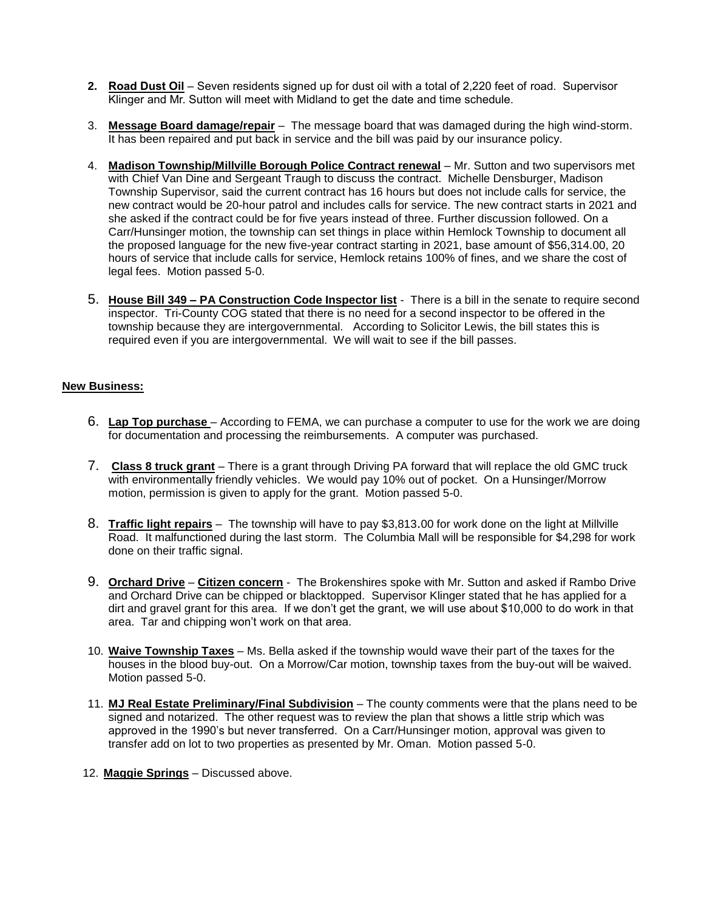- **2. Road Dust Oil** Seven residents signed up for dust oil with a total of 2,220 feet of road. Supervisor Klinger and Mr. Sutton will meet with Midland to get the date and time schedule.
- 3. **Message Board damage/repair** The message board that was damaged during the high wind-storm. It has been repaired and put back in service and the bill was paid by our insurance policy.
- 4. **Madison Township/Millville Borough Police Contract renewal** Mr. Sutton and two supervisors met with Chief Van Dine and Sergeant Traugh to discuss the contract. Michelle Densburger, Madison Township Supervisor, said the current contract has 16 hours but does not include calls for service, the new contract would be 20-hour patrol and includes calls for service. The new contract starts in 2021 and she asked if the contract could be for five years instead of three. Further discussion followed. On a Carr/Hunsinger motion, the township can set things in place within Hemlock Township to document all the proposed language for the new five-year contract starting in 2021, base amount of \$56,314.00, 20 hours of service that include calls for service, Hemlock retains 100% of fines, and we share the cost of legal fees. Motion passed 5-0.
- 5. **House Bill 349 – PA Construction Code Inspector list** There is a bill in the senate to require second inspector. Tri-County COG stated that there is no need for a second inspector to be offered in the township because they are intergovernmental. According to Solicitor Lewis, the bill states this is required even if you are intergovernmental. We will wait to see if the bill passes.

## **New Business:**

- 6. **Lap Top purchase** According to FEMA, we can purchase a computer to use for the work we are doing for documentation and processing the reimbursements. A computer was purchased.
- 7. **Class 8 truck grant** There is a grant through Driving PA forward that will replace the old GMC truck with environmentally friendly vehicles. We would pay 10% out of pocket. On a Hunsinger/Morrow motion, permission is given to apply for the grant. Motion passed 5-0.
- 8. **Traffic light repairs** The township will have to pay \$3,813.00 for work done on the light at Millville Road. It malfunctioned during the last storm. The Columbia Mall will be responsible for \$4,298 for work done on their traffic signal.
- 9. **Orchard Drive Citizen concern** The Brokenshires spoke with Mr. Sutton and asked if Rambo Drive and Orchard Drive can be chipped or blacktopped. Supervisor Klinger stated that he has applied for a dirt and gravel grant for this area. If we don't get the grant, we will use about \$10,000 to do work in that area. Tar and chipping won't work on that area.
- 10. **Waive Township Taxes** Ms. Bella asked if the township would wave their part of the taxes for the houses in the blood buy-out. On a Morrow/Car motion, township taxes from the buy-out will be waived. Motion passed 5-0.
- 11. **MJ Real Estate Preliminary/Final Subdivision** The county comments were that the plans need to be signed and notarized. The other request was to review the plan that shows a little strip which was approved in the 1990's but never transferred. On a Carr/Hunsinger motion, approval was given to transfer add on lot to two properties as presented by Mr. Oman. Motion passed 5-0.
- 12. **Maggie Springs** Discussed above.